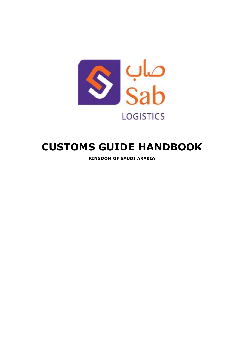

# **CUSTOMS GUIDE HANDBOOK**

**KINGDOM OF SAUDI ARABIA**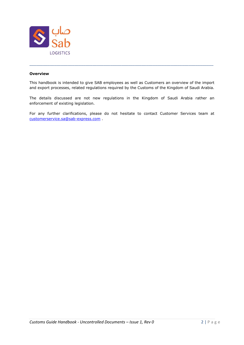

#### **Overview**

This handbook is intended to give SAB employees as well as Customers an overview of the import and export processes, related regulations required by the Customs of the Kingdom of Saudi Arabia.

\_\_\_\_\_\_\_\_\_\_\_\_\_\_\_\_\_\_\_\_\_\_\_\_\_\_\_\_\_\_\_\_\_\_\_\_\_\_\_\_\_\_\_\_\_\_\_\_\_\_\_\_\_\_\_\_\_\_\_\_\_\_\_\_\_\_\_\_\_\_\_\_\_\_\_\_\_\_\_\_\_\_

The details discussed are not new regulations in the Kingdom of Saudi Arabia rather an enforcement of existing legislation.

For any further clarifications, please do not hesitate to contact Customer Services team at [customerservice.sa@sab-express.com](mailto:customerservice.sa@sab-express.com) .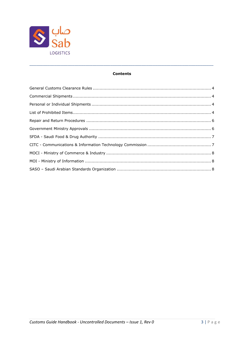

# **Contents**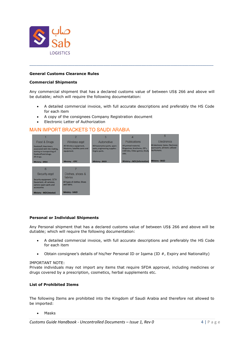

# <span id="page-3-0"></span>**General Customs Clearance Rules**

#### <span id="page-3-1"></span>**Commercial Shipments**

Any commercial shipment that has a declared customs value of between US\$ 266 and above will be dutiable; which will require the following documentation:

\_\_\_\_\_\_\_\_\_\_\_\_\_\_\_\_\_\_\_\_\_\_\_\_\_\_\_\_\_\_\_\_\_\_\_\_\_\_\_\_\_\_\_\_\_\_\_\_\_\_\_\_\_\_\_\_\_\_\_\_\_\_\_\_\_\_\_\_\_\_\_\_\_\_\_\_\_\_\_\_\_\_

- A detailed commercial invoice, with full accurate descriptions and preferably the HS Code for each item
- A copy of the consignees Company Registration document
- Electronic Letter of Authorization

# **MAIN IMPORT BRACKETS TO SAUDI ARABIA**



# <span id="page-3-2"></span>**Personal or Individual Shipments**

Any Personal shipment that has a declared customs value of between US\$ 266 and above will be dutiable; which will require the following documentation:

- A detailed commercial invoice, with full accurate descriptions and preferably the HS Code for each item
- Obtain consignee's details of his/her Personal ID or Igama (ID  $#$ , Expiry and Nationality)

#### IMPORTANT NOTE:

Private individuals may not import any items that require SFDA approval, including medicines or drugs covered by a prescription, cosmetics, herbal supplements etc.

# <span id="page-3-3"></span>**List of Prohibited Items**

The following Items are prohibited into the Kingdom of Saudi Arabia and therefore not allowed to be imported:

Masks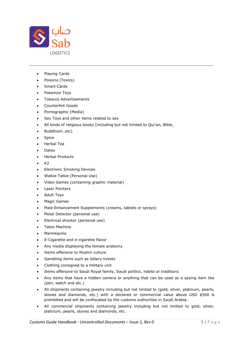

- Playing Cards
- Poisons (Toxics)
- Smart Cards
- Pokemon Toys
- Tobacco Advertisements
- Counterfeit Goods
- Pornographic (Media)
- Sex Toys and other items related to sex
- All kinds of religious books (including but not limited to Qur'an, Bible,

\_\_\_\_\_\_\_\_\_\_\_\_\_\_\_\_\_\_\_\_\_\_\_\_\_\_\_\_\_\_\_\_\_\_\_\_\_\_\_\_\_\_\_\_\_\_\_\_\_\_\_\_\_\_\_\_\_\_\_\_\_\_\_\_\_\_\_\_\_\_\_\_\_\_\_\_\_\_\_\_\_\_

- Buddhism..etc)
- Spice
- Herbal Tea
- Dates
- Herbal Products
- $K<sub>2</sub>$
- **•** Electronic Smoking Devices
- Walkie Talkie (Personal Use)
- Video Games (containing graphic material)
- Laser Pointers
- Adult Toys
- Magic Games
- Male Enhancement Supplements (creams, tablets or sprays)
- Metal Detector (personal use)
- Electrical shocker (personal use)
- Tatoo Machine
- **Mannequins**
- E-Cigarette and e-cigarette flavor
- Any media displaying the female anatomy
- Items offensive to Muslim culture
- Gambling items such as lottery tickets
- Clothing consigned to a military unit
- Items offensive to Saudi Royal family, Saudi politics, habits or traditions
- Any items that have a hidden camera or anything that can be used as a spying item like (pen, watch and etc.)
- All shipments containing jewelry including but not limited to (gold, silver, platinum, pearls, stones and diamonds, etc.) with a declared or commercial value above USD \$500 is prohibited and will be confiscated by the customs authorities in Saudi Arabia.
- All commercial shipments containing jewelry including but not limited to gold, silver, platinum, pearls, stones and diamonds, etc.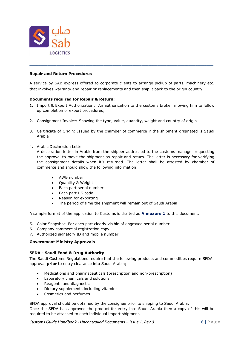

# <span id="page-5-0"></span>**Repair and Return Procedures**

A service by SAB express offered to corporate clients to arrange pickup of parts, machinery etc. that involves warranty and repair or replacements and then ship it back to the origin country.

\_\_\_\_\_\_\_\_\_\_\_\_\_\_\_\_\_\_\_\_\_\_\_\_\_\_\_\_\_\_\_\_\_\_\_\_\_\_\_\_\_\_\_\_\_\_\_\_\_\_\_\_\_\_\_\_\_\_\_\_\_\_\_\_\_\_\_\_\_\_\_\_\_\_\_\_\_\_\_\_\_\_

#### **Documents required for Repair & Return:**

- 1. Import & Export Authorization:: An authorization to the customs broker allowing him to follow up completion of export procedures;
- 2. Consignment Invoice: Showing the type, value, quantity, weight and country of origin
- 3. Certificate of Origin: Issued by the chamber of commerce if the shipment originated is Saudi Arabia
- 4. Arabic Declaration Letter

A declaration letter in Arabic from the shipper addressed to the customs manager requesting the approval to move the shipment as repair and return. The letter is necessary for verifying the consignment details when it's returned. The letter shall be attested by chamber of commerce and should show the following information:

- AWB number
- Ouantity & Weight
- Each part serial number
- Each part HS code
- Reason for exporting
- The period of time the shipment will remain out of Saudi Arabia

A sample format of the application to Customs is drafted as **[Annexure 1](#page-10-0)** to this document.

- 5. Color Snapshot: For each part clearly visible of engraved serial number
- 6. Company commercial registration copy
- 7. Authorized signatory ID and mobile number

# <span id="page-5-1"></span>**Government Ministry Approvals**

#### **SFDA - Saudi Food & Drug Authority**

The Saudi Customs Regulations require that the following products and commodities require SFDA approval **prior** to entry clearance into Saudi Arabia;

- Medications and pharmaceuticals (prescription and non-prescription)
- Laboratory chemicals and solutions
- Reagents and diagnostics
- Dietary supplements including vitamins
- Cosmetics and perfumes

SFDA approval should be obtained by the consignee prior to shipping to Saudi Arabia. Once the SFDA has approved the product for entry into Saudi Arabia then a copy of this will be required to be attached to each individual import shipment.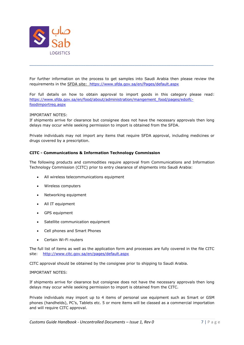

For further information on the process to get samples into Saudi Arabia then please review the requirements in the SFDA site: <https://www.sfda.gov.sa/en/Pages/default.aspx>

\_\_\_\_\_\_\_\_\_\_\_\_\_\_\_\_\_\_\_\_\_\_\_\_\_\_\_\_\_\_\_\_\_\_\_\_\_\_\_\_\_\_\_\_\_\_\_\_\_\_\_\_\_\_\_\_\_\_\_\_\_\_\_\_\_\_\_\_\_\_\_\_\_\_\_\_\_\_\_\_\_\_

For full details on how to obtain approval to import goods in this category please read: [https://www.sfda.gov.sa/en/food/about/administration/mangement\\_food/pages/edoifc](https://www.sfda.gov.sa/en/food/about/administration/mangement_food/pages/edoifc-foodimportreq.aspx)[foodimportreq.aspx](https://www.sfda.gov.sa/en/food/about/administration/mangement_food/pages/edoifc-foodimportreq.aspx)

#### IMPORTANT NOTES:

If shipments arrive for clearance but consignee does not have the necessary approvals then long delays may occur while seeking permission to import is obtained from the SFDA.

Private individuals may not import any items that require SFDA approval, including medicines or drugs covered by a prescription.

# <span id="page-6-0"></span>**CITC - Communications & Information Technology Commission**

The following products and commodities require approval from Communications and Information Technology Commission (CITC) prior to entry clearance of shipments into Saudi Arabia:

- All wireless telecommunications equipment
- Wireless computers
- Networking equipment
- All IT equipment
- GPS equipment
- Satellite communication equipment
- Cell phones and Smart Phones
- Certain Wi-Fi routers

The full list of items as well as the application form and processes are fully covered in the file CITC site: <http://www.citc.gov.sa/en/pages/default.aspx>

CITC approval should be obtained by the consignee prior to shipping to Saudi Arabia.

#### IMPORTANT NOTES:

If shipments arrive for clearance but consignee does not have the necessary approvals then long delays may occur while seeking permission to import is obtained from the CITC.

Private individuals may import up to 4 items of personal use equipment such as Smart or GSM phones (handhelds), PC's, Tablets etc. 5 or more items will be classed as a commercial importation and will require CITC approval.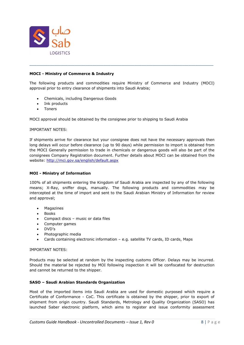

# <span id="page-7-0"></span>**MOCI - Ministry of Commerce & Industry**

The following products and commodities require Ministry of Commerce and Industry (MOCI) approval prior to entry clearance of shipments into Saudi Arabia;

\_\_\_\_\_\_\_\_\_\_\_\_\_\_\_\_\_\_\_\_\_\_\_\_\_\_\_\_\_\_\_\_\_\_\_\_\_\_\_\_\_\_\_\_\_\_\_\_\_\_\_\_\_\_\_\_\_\_\_\_\_\_\_\_\_\_\_\_\_\_\_\_\_\_\_\_\_\_\_\_\_\_

- Chemicals, including Dangerous Goods
- Ink products
- Toners

MOCI approval should be obtained by the consignee prior to shipping to Saudi Arabia

#### IMPORTANT NOTES:

If shipments arrive for clearance but your consignee does not have the necessary approvals then long delays will occur before clearance (up to 90 days) while permission to import is obtained from the MOCI Generally permission to trade in chemicals or dangerous goods will also be part of the consignees Company Registration document. Further details about MOCI can be obtained from the website:<http://mci.gov.sa/english/default.aspx>

#### <span id="page-7-1"></span>**MOI - Ministry of Information**

100% of all shipments entering the Kingdom of Saudi Arabia are inspected by any of the following means; X-Ray, sniffer dogs, manually. The following products and commodities may be intercepted at the time of import and sent to the Saudi Arabian Ministry of Information for review and approval;

- Magazines
- Books
- Compact discs music or data files
- Computer games
- DVD's
- Photographic media
- Cards containing electronic information e.g. satellite TV cards, ID cards, Maps

#### IMPORTANT NOTES:

Products may be selected at random by the inspecting customs Officer. Delays may be incurred. Should the material be rejected by MOI following inspection it will be confiscated for destruction and cannot be returned to the shipper.

# <span id="page-7-2"></span>**SASO – Saudi Arabian Standards Organization**

Most of the imported items into Saudi Arabia are used for domestic purposed which require a Certificate of Conformance - CoC. This certificate is obtained by the shipper, prior to export of shipment from origin country. Saudi Standards, Metrology and Quality Organization (SASO) has launched Saber electronic platform, which aims to register and issue conformity assessment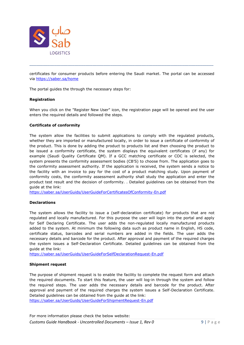

certificates for consumer products before entering the Saudi market. The portal can be accessed via<https://saber.sa/home>

\_\_\_\_\_\_\_\_\_\_\_\_\_\_\_\_\_\_\_\_\_\_\_\_\_\_\_\_\_\_\_\_\_\_\_\_\_\_\_\_\_\_\_\_\_\_\_\_\_\_\_\_\_\_\_\_\_\_\_\_\_\_\_\_\_\_\_\_\_\_\_\_\_\_\_\_\_\_\_\_\_\_

The portal guides the through the necessary steps for:

# **Registration**

When you click on the "Register New User" icon, the registration page will be opened and the user enters the required details and followed the steps.

# **Certificate of conformity**

The system allow the facilities to submit applications to comply with the regulated products, whether they are imported or manufactured locally, in order to issue a certificate of conformity of the product. This is done by adding the product to products list and then choosing the product to be issued a conformity certificate, the system displays the equivalent certificates (if any) for example (Saudi Quality Certificate QM). If a GCC matching certificate or COC is selected, the system presents the conformity assessment bodies (CB'S) to choose from. The application goes to the conformity assessment authority. If the application is received, the system sends a notice to the facility with an invoice to pay for the cost of a product matching study. Upon payment of conformity costs, the conformity assessment authority shall study the application and enter the product test result and the decision of conformity. . Detailed guidelines can be obtained from the guide at the link:

<https://saber.sa/UserGuids/UserGuideForCertificatesOfConformity-En.pdf>

#### **Declarations**

The system allows the facility to issue a (self-declaration certificate) for products that are not regulated and locally manufactured. For this purpose the user will login into the portal and apply for Self Declaring Certificate. The user adds the non-regulated locally manufactured products added to the system. At minimum the following data such as product name in English, HS code, certificate status, barcodes and serial numbers are added in the fields. The user adds the necessary details and barcode for the product. After approval and payment of the required charges the system issues a Self-Declaration Certificate. Detailed guidelines can be obtained from the guide at the link:

<https://saber.sa/UserGuids/UserGuideForSelfDeclarationRequest-En.pdf>

#### **Shipment request**

The purpose of shipment request is to enable the facility to complete the request form and attach the required documents. To start this feature, the user will log-in through the system and follow the required steps. The user adds the necessary details and barcode for the product. After approval and payment of the required charges the system issues a Self-Declaration Certificate. Detailed guidelines can be obtained from the guide at the link:

<https://saber.sa/UserGuids/UserGuideForShipmentRequest-En.pdf>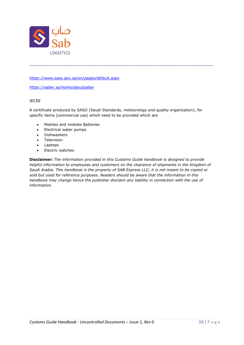

<https://www.saso.gov.sa/en/pages/default.aspx>

<https://saber.sa/home/aboutsaber>

# IECEE

A certificate produced by SASO (Saudi Standards, meteorology and quality organization), for specific items (commercial use) which need to be provided which are

\_\_\_\_\_\_\_\_\_\_\_\_\_\_\_\_\_\_\_\_\_\_\_\_\_\_\_\_\_\_\_\_\_\_\_\_\_\_\_\_\_\_\_\_\_\_\_\_\_\_\_\_\_\_\_\_\_\_\_\_\_\_\_\_\_\_\_\_\_\_\_\_\_\_\_\_\_\_\_\_\_\_

- Mobiles and mobiles Batteries
- Electrical water pumps
- **•** Dishwashers
- **•** Television
- Laptops
- Electric watches

**Disclaimer:** *The information provided in this Customs Guide handbook is designed to provide helpful information to employees and customers on the clearance of shipments in the Kingdom of Saudi Arabia. This handbook is the property of SAB Express LLC; it is not meant to be copied or sold but used for reference purposes. Readers should be aware that the information in this handbook may change hence the publisher disclaim any liability in connection with the use of information.*